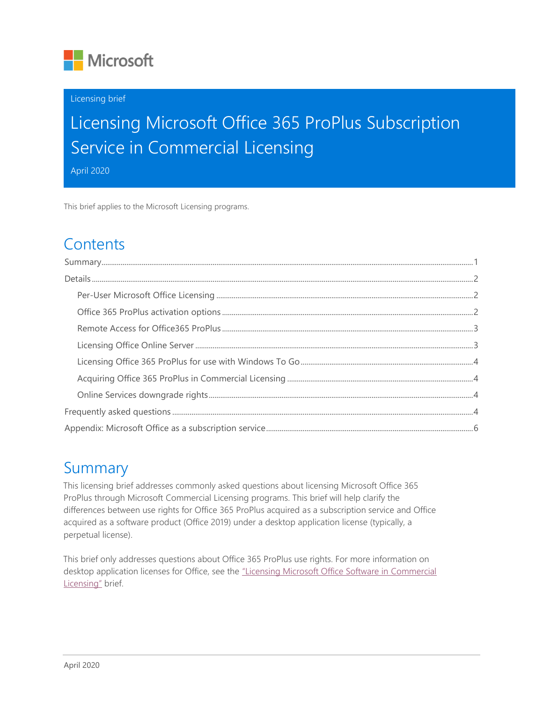

#### Licensing brief

# Licensing Microsoft Office 365 ProPlus Subscription Service in Commercial Licensing

April 2020

This brief applies to the Microsoft Licensing programs.

### **Contents**

### <span id="page-0-0"></span>Summary

This licensing brief addresses commonly asked questions about licensing Microsoft Office 365 ProPlus through Microsoft Commercial Licensing programs. This brief will help clarify the differences between use rights for Office 365 ProPlus acquired as a subscription service and Office acquired as a software product (Office 2019) under a desktop application license (typically, a perpetual license).

This brief only addresses questions about Office 365 ProPlus use rights. For more information on desktop application licenses for Office, see the ["Licensing Microsoft Office Software in](https://download.microsoft.com/download/3/D/4/3D42BDC2-6725-4B29-B75A-A5B04179958B/Licensing_Microsoft_Office_Software.pdf) Commercial [Licensing"](https://download.microsoft.com/download/3/D/4/3D42BDC2-6725-4B29-B75A-A5B04179958B/Licensing_Microsoft_Office_Software.pdf) brief.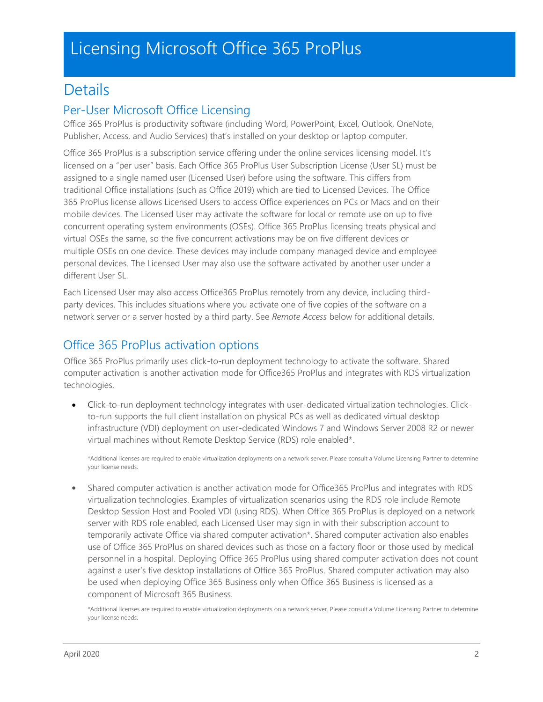### <span id="page-1-0"></span>**Details**

#### <span id="page-1-1"></span>Per-User Microsoft Office Licensing

Office 365 ProPlus is productivity software (including Word, PowerPoint, Excel, Outlook, OneNote, Publisher, Access, and Audio Services) that's installed on your desktop or laptop computer.

Office 365 ProPlus is a subscription service offering under the online services licensing model. It's licensed on a "per user" basis. Each Office 365 ProPlus User Subscription License (User SL) must be assigned to a single named user (Licensed User) before using the software. This differs from traditional Office installations (such as Office 2019) which are tied to Licensed Devices. The Office 365 ProPlus license allows Licensed Users to access Office experiences on PCs or Macs and on their mobile devices. The Licensed User may activate the software for local or remote use on up to five concurrent operating system environments (OSEs). Office 365 ProPlus licensing treats physical and virtual OSEs the same, so the five concurrent activations may be on five different devices or multiple OSEs on one device. These devices may include company managed device and employee personal devices. The Licensed User may also use the software activated by another user under a different User SL.

Each Licensed User may also access Office365 ProPlus remotely from any device, including thirdparty devices. This includes situations where you activate one of five copies of the software on a network server or a server hosted by a third party. See *Remote Access* below for additional details.

### <span id="page-1-2"></span>Office 365 ProPlus activation options

Office 365 ProPlus primarily uses click-to-run deployment technology to activate the software. Shared computer activation is another activation mode for Office365 ProPlus and integrates with RDS virtualization technologies.

• Click-to-run deployment technology integrates with user-dedicated virtualization technologies. Clickto-run supports the full client installation on physical PCs as well as dedicated virtual desktop infrastructure (VDI) deployment on user-dedicated Windows 7 and Windows Server 2008 R2 or newer virtual machines without Remote Desktop Service (RDS) role enabled\*.

\*Additional licenses are required to enable virtualization deployments on a network server. Please consult a Volume Licensing Partner to determine your license needs.

• Shared computer activation is another activation mode for Office365 ProPlus and integrates with RDS virtualization technologies. Examples of virtualization scenarios using the RDS role include Remote Desktop Session Host and Pooled VDI (using RDS). When Office 365 ProPlus is deployed on a network server with RDS role enabled, each Licensed User may sign in with their subscription account to temporarily activate Office via shared computer activation\*. Shared computer activation also enables use of Office 365 ProPlus on shared devices such as those on a factory floor or those used by medical personnel in a hospital. Deploying Office 365 ProPlus using shared computer activation does not count against a user's five desktop installations of Office 365 ProPlus. Shared computer activation may also be used when deploying Office 365 Business only when Office 365 Business is licensed as a component of Microsoft 365 Business.

\*Additional licenses are required to enable virtualization deployments on a network server. Please consult a Volume Licensing Partner to determine your license needs.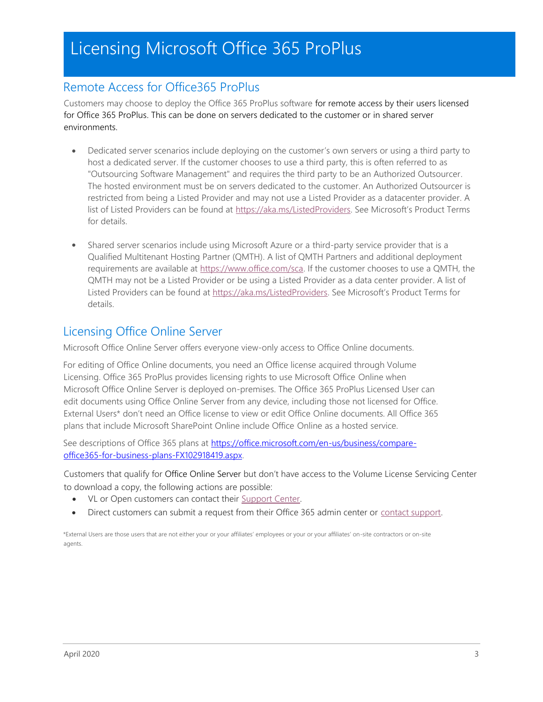#### <span id="page-2-0"></span>Remote Access for Office365 ProPlus

Customers may choose to deploy the Office 365 ProPlus software for remote access by their users licensed for Office 365 ProPlus. This can be done on servers dedicated to the customer or in shared server environments.

- Dedicated server scenarios include deploying on the customer's own servers or using a third party to host a dedicated server. If the customer chooses to use a third party, this is often referred to as "Outsourcing Software Management" and requires the third party to be an Authorized Outsourcer. The hosted environment must be on servers dedicated to the customer. An Authorized Outsourcer is restricted from being a Listed Provider and may not use a Listed Provider as a datacenter provider. A list of Listed Providers can be found at [https://aka.ms/ListedProviders.](https://aka.ms/ListedProviders) See Microsoft's Product Terms for details.
- Shared server scenarios include using Microsoft Azure or a third-party service provider that is a Qualified Multitenant Hosting Partner (QMTH). A list of QMTH Partners and additional deployment requirements are available at [https://www.office.com/sca.](https://www.office.com/sca) If the customer chooses to use a QMTH, the QMTH may not be a Listed Provider or be using a Listed Provider as a data center provider. A list of Listed Providers can be found at [https://aka.ms/ListedProviders.](https://aka.ms/ListedProviders) See Microsoft's Product Terms for details.

#### <span id="page-2-1"></span>Licensing Office Online Server

Microsoft Office Online Server offers everyone view-only access to Office Online documents.

For editing of Office Online documents, you need an Office license acquired through Volume Licensing. Office 365 ProPlus provides licensing rights to use Microsoft Office Online when Microsoft Office Online Server is deployed on-premises. The Office 365 ProPlus Licensed User can edit documents using Office Online Server from any device, including those not licensed for Office. External Users\* don't need an Office license to view or edit Office Online documents. All Office 365 plans that include Microsoft SharePoint Online include Office Online as a hosted service.

See descriptions of Office 365 plans at [https://office.microsoft.com/en](https://office.microsoft.com/en-us/business/compare-office-365-for-business-plans-FX102918419.aspx)[-us/business/compare](http://office.microsoft.com/en-us/business/compare-office-365-for-business-plans-FX102918419.aspx)[office365-for-business-plans-FX102918419.aspx.](http://office.microsoft.com/en-us/business/compare-office-365-for-business-plans-FX102918419.aspx)

Customers that qualify for Office Online Server but don't have access to the Volume License Servicing Center to download a copy, the following actions are possible:

- VL or Open customers can contact their [Support Center.](https://www.microsoft.com/Licensing/servicecenter/Help/Contact.aspx)
- Direct customers can submit a request from their Office 365 admin center or [contact support.](https://support.office.com/en-us/article/Contact-support-for-business-products-Admin-Help-32a17ca7-6fa0-4870-8a8d-e25ba4ccfd4b?CorrelationId=25670613-9263-4c87-8254-7c4563a1e0ac&ui=en-US&rs=en-US&ad=US&ocmsassetID=HA103836042)

\*External Users are those users that are not either your or your affiliates' employees or your or your affiliates' on-site contractors or on-site agents.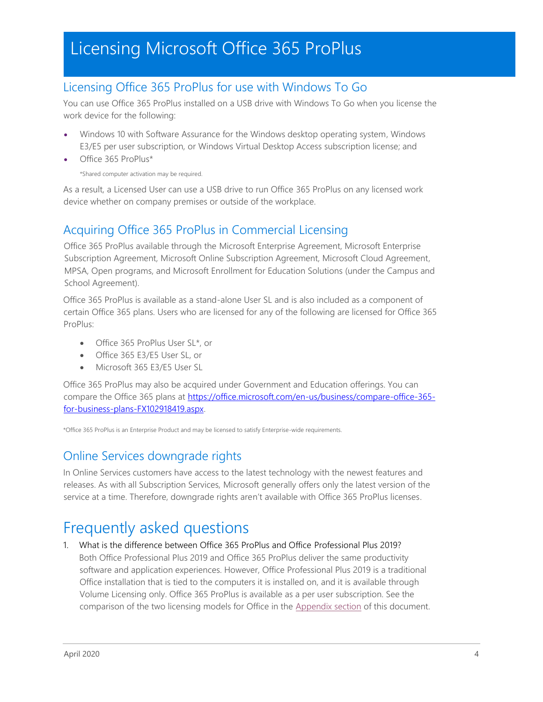#### <span id="page-3-0"></span>Licensing Office 365 ProPlus for use with Windows To Go

You can use Office 365 ProPlus installed on a USB drive with Windows To Go when you license the work device for the following:

- Windows 10 with Software Assurance for the Windows desktop operating system, Windows E3/E5 per user subscription, or Windows Virtual Desktop Access subscription license; and
- Office 365 ProPlus\*

\*Shared computer activation may be required.

As a result, a Licensed User can use a USB drive to run Office 365 ProPlus on any licensed work device whether on company premises or outside of the workplace.

#### <span id="page-3-1"></span>Acquiring Office 365 ProPlus in Commercial Licensing

Office 365 ProPlus available through the Microsoft Enterprise Agreement, Microsoft Enterprise Subscription Agreement, Microsoft Online Subscription Agreement, Microsoft Cloud Agreement, MPSA, Open programs, and Microsoft Enrollment for Education Solutions (under the Campus and School Agreement).

Office 365 ProPlus is available as a stand-alone User SL and is also included as a component of certain Office 365 plans. Users who are licensed for any of the following are licensed for Office 365 ProPlus:

- Office 365 ProPlus User SL\*, or
- Office 365 E3/E5 User SL, or
- Microsoft 365 E3/E5 User SL

Office 365 ProPlus may also be acquired under Government and Education offerings. You can compare the Office 365 plans at [https://office.microsoft.com/en](https://office.microsoft.com/en-us/business/compare-office-365-for-business-plans-FX102918419.aspx)[-us/business/compare-office-365](http://office.microsoft.com/en-us/business/compare-office-365-for-business-plans-FX102918419.aspx) [for-business-plans-FX102918419.aspx.](http://office.microsoft.com/en-us/business/compare-office-365-for-business-plans-FX102918419.aspx)

\*Office 365 ProPlus is an Enterprise Product and may be licensed to satisfy Enterprise-wide requirements.

#### <span id="page-3-2"></span>Online Services downgrade rights

In Online Services customers have access to the latest technology with the newest features and releases. As with all Subscription Services, Microsoft generally offers only the latest version of the service at a time. Therefore, downgrade rights aren't available with Office 365 ProPlus licenses.

### <span id="page-3-3"></span>Frequently asked questions

1. What is the difference between Office 365 ProPlus and Office Professional Plus 2019? Both Office Professional Plus 2019 and Office 365 ProPlus deliver the same productivity software and application experiences. However, Office Professional Plus 2019 is a traditional Office installation that is tied to the computers it is installed on, and it is available through Volume Licensing only. Office 365 ProPlus is available as a per user subscription. See the comparison of the two licensing models for Office in the [Appendix section](#page-5-0) of this document.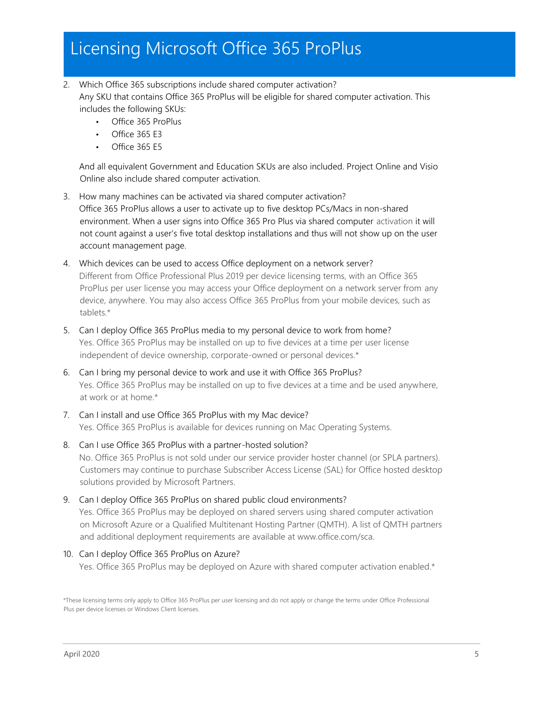- 2. Which Office 365 subscriptions include shared computer activation? Any SKU that contains Office 365 ProPlus will be eligible for shared computer activation. This includes the following SKUs:
	- Office 365 ProPlus
	- Office 365 E3
	- Office 365 E5

And all equivalent Government and Education SKUs are also included. Project Online and Visio Online also include shared computer activation.

- 3. How many machines can be activated via shared computer activation? Office 365 ProPlus allows a user to activate up to five desktop PCs/Macs in non-shared environment. When a user signs into Office 365 Pro Plus via shared computer activation it will not count against a user's five total desktop installations and thus will not show up on the user account management page.
- 4. Which devices can be used to access Office deployment on a network server? Different from Office Professional Plus 2019 per device licensing terms, with an Office 365 ProPlus per user license you may access your Office deployment on a network server from any device, anywhere. You may also access Office 365 ProPlus from your mobile devices, such as tablets.\*
- 5. Can I deploy Office 365 ProPlus media to my personal device to work from home? Yes. Office 365 ProPlus may be installed on up to five devices at a time per user license independent of device ownership, corporate-owned or personal devices.\*
- 6. Can I bring my personal device to work and use it with Office 365 ProPlus? Yes. Office 365 ProPlus may be installed on up to five devices at a time and be used anywhere, at work or at home.\*
- 7. Can I install and use Office 365 ProPlus with my Mac device? Yes. Office 365 ProPlus is available for devices running on Mac Operating Systems.
- 8. Can I use Office 365 ProPlus with a partner-hosted solution? No. Office 365 ProPlus is not sold under our service provider hoster channel (or SPLA partners). Customers may continue to purchase Subscriber Access License (SAL) for Office hosted desktop solutions provided by Microsoft Partners.
- 9. Can I deploy Office 365 ProPlus on shared public cloud environments? Yes. Office 365 ProPlus may be deployed on shared servers using shared computer activation on Microsoft Azure or a Qualified Multitenant Hosting Partner (QMTH). A list of QMTH partners and additional deployment requirements are available at www.office.com/sca.
- 10. Can I deploy Office 365 ProPlus on Azure?

Yes. Office 365 ProPlus may be deployed on Azure with shared computer activation enabled.\*

<sup>\*</sup>These licensing terms only apply to Office 365 ProPlus per user licensing and do not apply or change the terms under Office Professional Plus per device licenses or Windows Client licenses.